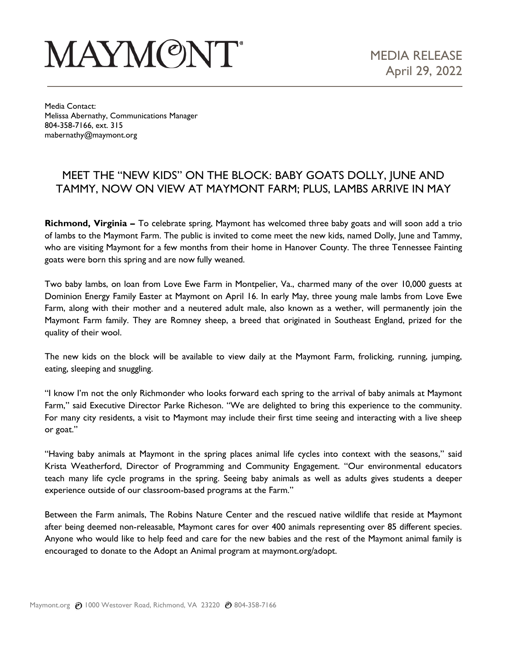## **MAYMONT**

Media Contact: Melissa Abernathy, Communications Manager 804-358-7166, ext. 315 mabernathy@maymont.org

## MEET THE "NEW KIDS" ON THE BLOCK: BABY GOATS DOLLY, JUNE AND TAMMY, NOW ON VIEW AT MAYMONT FARM; PLUS, LAMBS ARRIVE IN MAY

**Richmond, Virginia –** To celebrate spring, Maymont has welcomed three baby goats and will soon add a trio of lambs to the Maymont Farm. The public is invited to come meet the new kids, named Dolly, June and Tammy, who are visiting Maymont for a few months from their home in Hanover County. The three Tennessee Fainting goats were born this spring and are now fully weaned.

Two baby lambs, on loan from Love Ewe Farm in Montpelier, Va., charmed many of the over 10,000 guests at Dominion Energy Family Easter at Maymont on April 16. In early May, three young male lambs from Love Ewe Farm, along with their mother and a neutered adult male, also known as a wether, will permanently join the Maymont Farm family. They are Romney sheep, a breed that originated in Southeast England, prized for the quality of their wool.

The new kids on the block will be available to view daily at the Maymont Farm, frolicking, running, jumping, eating, sleeping and snuggling.

"I know I'm not the only Richmonder who looks forward each spring to the arrival of baby animals at Maymont Farm," said Executive Director Parke Richeson. "We are delighted to bring this experience to the community. For many city residents, a visit to Maymont may include their first time seeing and interacting with a live sheep or goat."

"Having baby animals at Maymont in the spring places animal life cycles into context with the seasons," said Krista Weatherford, Director of Programming and Community Engagement. "Our environmental educators teach many life cycle programs in the spring. Seeing baby animals as well as adults gives students a deeper experience outside of our classroom-based programs at the Farm."

Between the Farm animals, The Robins Nature Center and the rescued native wildlife that reside at Maymont after being deemed non-releasable, Maymont cares for over 400 animals representing over 85 different species. Anyone who would like to help feed and care for the new babies and the rest of the Maymont animal family is encouraged to donate to the Adopt an Animal program at maymont.org/adopt.